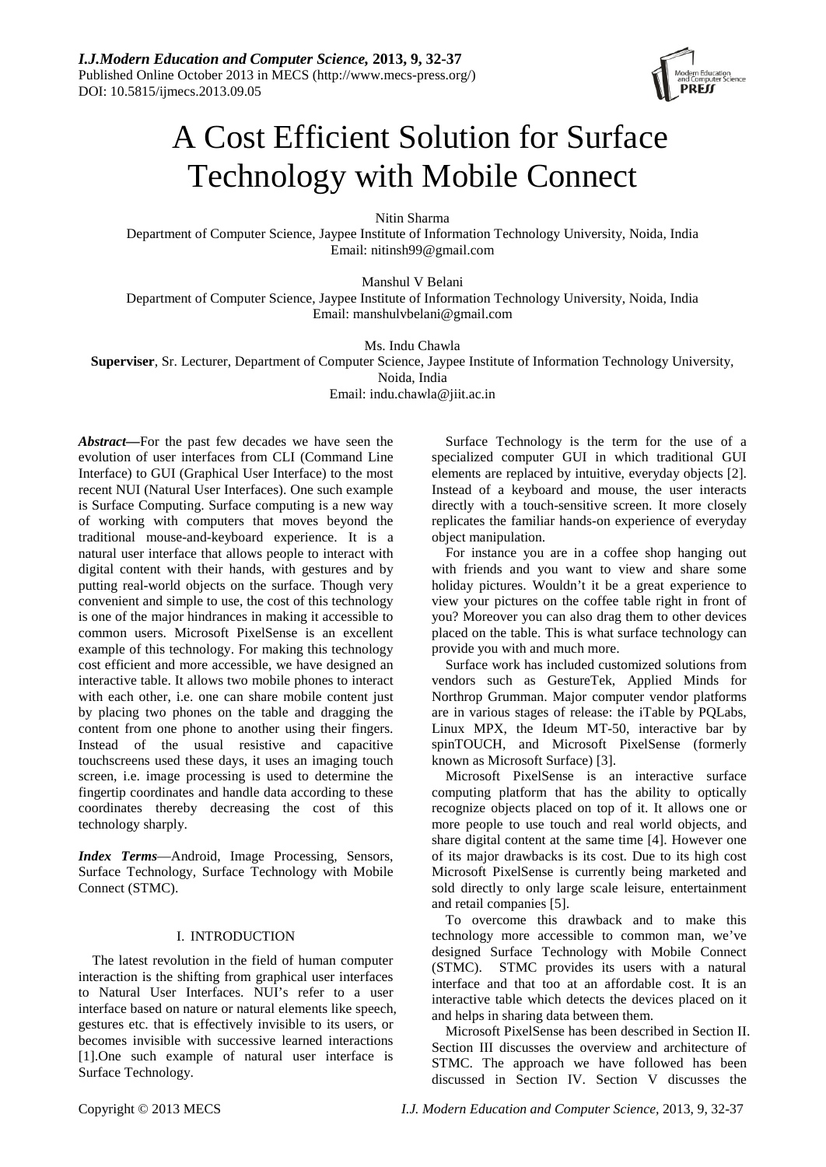

# A Cost Efficient Solution for Surface Technology with Mobile Connect

Nitin Sharma

Department of Computer Science, Jaypee Institute of Information Technology University, Noida, India Email: nitinsh99@gmail.com

Manshul V Belani

Department of Computer Science, Jaypee Institute of Information Technology University, Noida, India Email: manshulvbelani@gmail.com

Ms. Indu Chawla

**Superviser**, Sr. Lecturer, Department of Computer Science, Jaypee Institute of Information Technology University,

Noida, India

Email: indu.chawla@jiit.ac.in

*Abstract—*For the past few decades we have seen the evolution of user interfaces from CLI (Command Line Interface) to GUI (Graphical User Interface) to the most recent NUI (Natural User Interfaces). One such example is Surface Computing. Surface computing is a new way of working with computers that moves beyond the traditional mouse-and-keyboard experience. It is a natural user interface that allows people to interact with digital content with their hands, with gestures and by putting real-world objects on the surface. Though very convenient and simple to use, the cost of this technology is one of the major hindrances in making it accessible to common users. Microsoft PixelSense is an excellent example of this technology. For making this technology cost efficient and more accessible, we have designed an interactive table. It allows two mobile phones to interact with each other, i.e. one can share mobile content just by placing two phones on the table and dragging the content from one phone to another using their fingers. Instead of the usual resistive and capacitive touchscreens used these days, it uses an imaging touch screen, i.e. image processing is used to determine the fingertip coordinates and handle data according to these coordinates thereby decreasing the cost of this technology sharply.

*Index Terms*—Android, Image Processing, Sensors, Surface Technology, Surface Technology with Mobile Connect (STMC).

# I. INTRODUCTION

The latest revolution in the field of human computer interaction is the shifting from graphical user interfaces to Natural User Interfaces. NUI's refer to a user interface based on nature or natural elements like speech, gestures etc. that is effectively invisible to its users, or becomes invisible with successive learned interactions [1].One such example of natural user interface is Surface Technology.

Surface Technology is the term for the use of a specialized computer GUI in which traditional GUI elements are replaced by intuitive, everyday objects [2]. Instead of a keyboard and mouse, the user interacts directly with a touch-sensitive screen. It more closely replicates the familiar hands-on experience of everyday object manipulation.

For instance you are in a coffee shop hanging out with friends and you want to view and share some holiday pictures. Wouldn't it be a great experience to view your pictures on the coffee table right in front of you? Moreover you can also drag them to other devices placed on the table. This is what surface technology can provide you with and much more.

Surface work has included customized solutions from vendors such as GestureTek, Applied Minds for Northrop Grumman. Major computer vendor platforms are in various stages of release: the iTable by PQLabs, Linux MPX, the Ideum MT-50, interactive bar by spinTOUCH, and Microsoft PixelSense (formerly known as Microsoft Surface) [3].

Microsoft PixelSense is an interactive surface computing platform that has the ability to optically recognize objects placed on top of it. It allows one or more people to use touch and real world objects, and share digital content at the same time [4]. However one of its major drawbacks is its cost. Due to its high cost Microsoft PixelSense is currently being marketed and sold directly to only large scale leisure, entertainment and retail companies [5].

To overcome this drawback and to make this technology more accessible to common man, we've designed Surface Technology with Mobile Connect (STMC). STMC provides its users with a natural interface and that too at an affordable cost. It is an interactive table which detects the devices placed on it and helps in sharing data between them.

Microsoft PixelSense has been described in Section II. Section III discusses the overview and architecture of STMC. The approach we have followed has been discussed in Section IV. Section V discusses the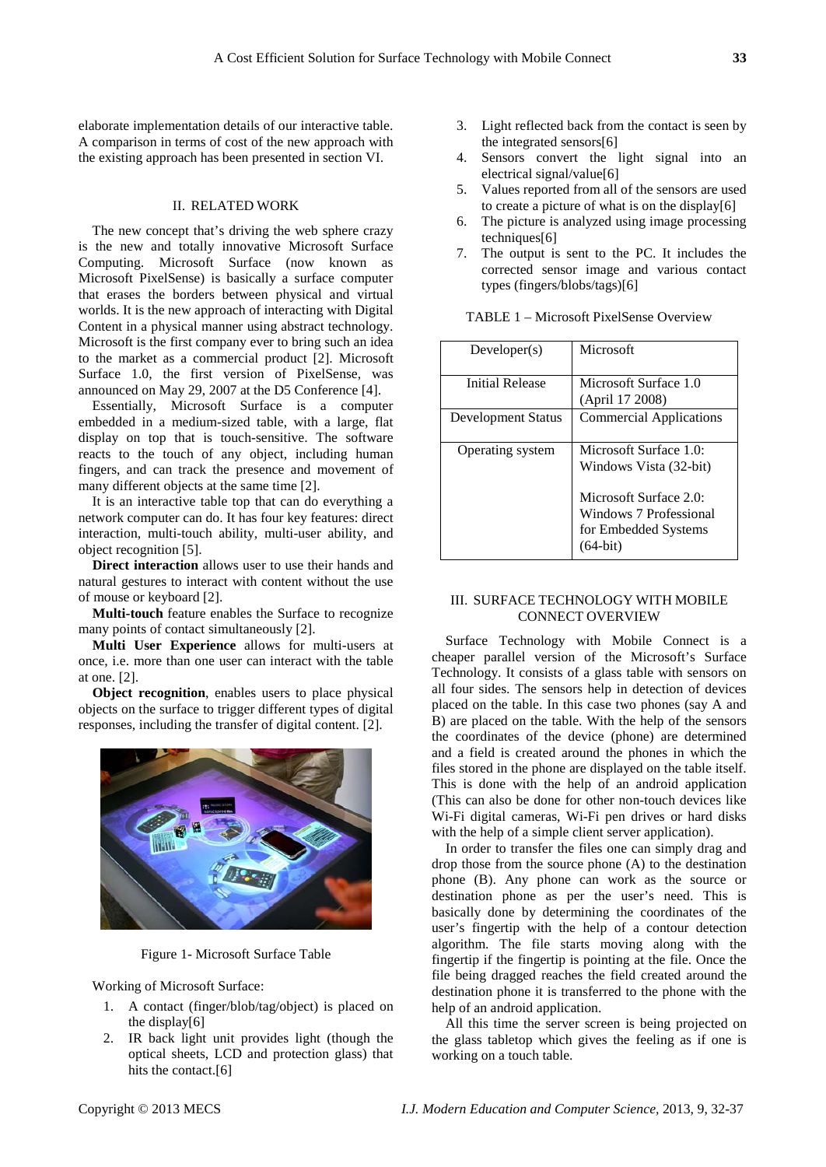elaborate implementation details of our interactive table. A comparison in terms of cost of the new approach with the existing approach has been presented in section VI.

# II. RELATED WORK

The new concept that's driving the web sphere crazy is the new and totally innovative Microsoft Surface Computing. Microsoft Surface (now known as Microsoft PixelSense) is basically a surface computer that erases the borders between physical and virtual worlds. It is the new approach of interacting with Digital Content in a physical manner using abstract technology. Microsoft is the first company ever to bring such an idea to the market as a commercial product [2]. Microsoft Surface 1.0, the first version of PixelSense, was announced on May 29, 2007 at the D5 Conference [4].

Essentially, Microsoft Surface is a computer embedded in a medium-sized table, with a large, flat display on top that is touch-sensitive. The software reacts to the touch of any object, including human fingers, and can track the presence and movement of many different objects at the same time [2].

It is an interactive table top that can do everything a network computer can do. It has four key features: direct interaction, multi-touch ability, multi-user ability, and object recognition [5].

**Direct interaction** allows user to use their hands and natural gestures to interact with content without the use of mouse or keyboard [2].

**Multi-touch** feature enables the Surface to recognize many points of contact simultaneously [2].

**Multi User Experience** allows for multi-users at once, i.e. more than one user can interact with the table at one. [2].

**Object recognition**, enables users to place physical objects on the surface to trigger different types of digital responses, including the transfer of digital content. [2].



Figure 1- Microsoft Surface Table

Working of Microsoft Surface:

- 1. A contact (finger/blob/tag/object) is placed on the display[6]
- 2. IR back light unit provides light (though the optical sheets, LCD and protection glass) that hits the contact.<sup>[6]</sup>
- 3. Light reflected back from the contact is seen by the integrated sensors[6]
- 4. Sensors convert the light signal into an electrical signal/value[6]
- 5. Values reported from all of the sensors are used to create a picture of what is on the display[6]
- 6. The picture is analyzed using image processing techniques<sup>[6]</sup>
- 7. The output is sent to the PC. It includes the corrected sensor image and various contact types (fingers/blobs/tags)[6]

| Developer(s)       | Microsoft                                                                              |
|--------------------|----------------------------------------------------------------------------------------|
| Initial Release    | Microsoft Surface 1.0<br>(April 17 2008)                                               |
| Development Status | <b>Commercial Applications</b>                                                         |
| Operating system   | Microsoft Surface 1.0:<br>Windows Vista (32-bit)                                       |
|                    | Microsoft Surface 2.0:<br>Windows 7 Professional<br>for Embedded Systems<br>$(64-bit)$ |

# TABLE 1 – Microsoft PixelSense Overview

# III. SURFACE TECHNOLOGY WITH MOBILE CONNECT OVERVIEW

Surface Technology with Mobile Connect is a cheaper parallel version of the Microsoft's Surface Technology. It consists of a glass table with sensors on all four sides. The sensors help in detection of devices placed on the table. In this case two phones (say A and B) are placed on the table. With the help of the sensors the coordinates of the device (phone) are determined and a field is created around the phones in which the files stored in the phone are displayed on the table itself. This is done with the help of an android application (This can also be done for other non-touch devices like Wi-Fi digital cameras, Wi-Fi pen drives or hard disks with the help of a simple client server application).

In order to transfer the files one can simply drag and drop those from the source phone (A) to the destination phone (B). Any phone can work as the source or destination phone as per the user's need. This is basically done by determining the coordinates of the user's fingertip with the help of a contour detection algorithm. The file starts moving along with the fingertip if the fingertip is pointing at the file. Once the file being dragged reaches the field created around the destination phone it is transferred to the phone with the help of an android application.

All this time the server screen is being projected on the glass tabletop which gives the feeling as if one is working on a touch table.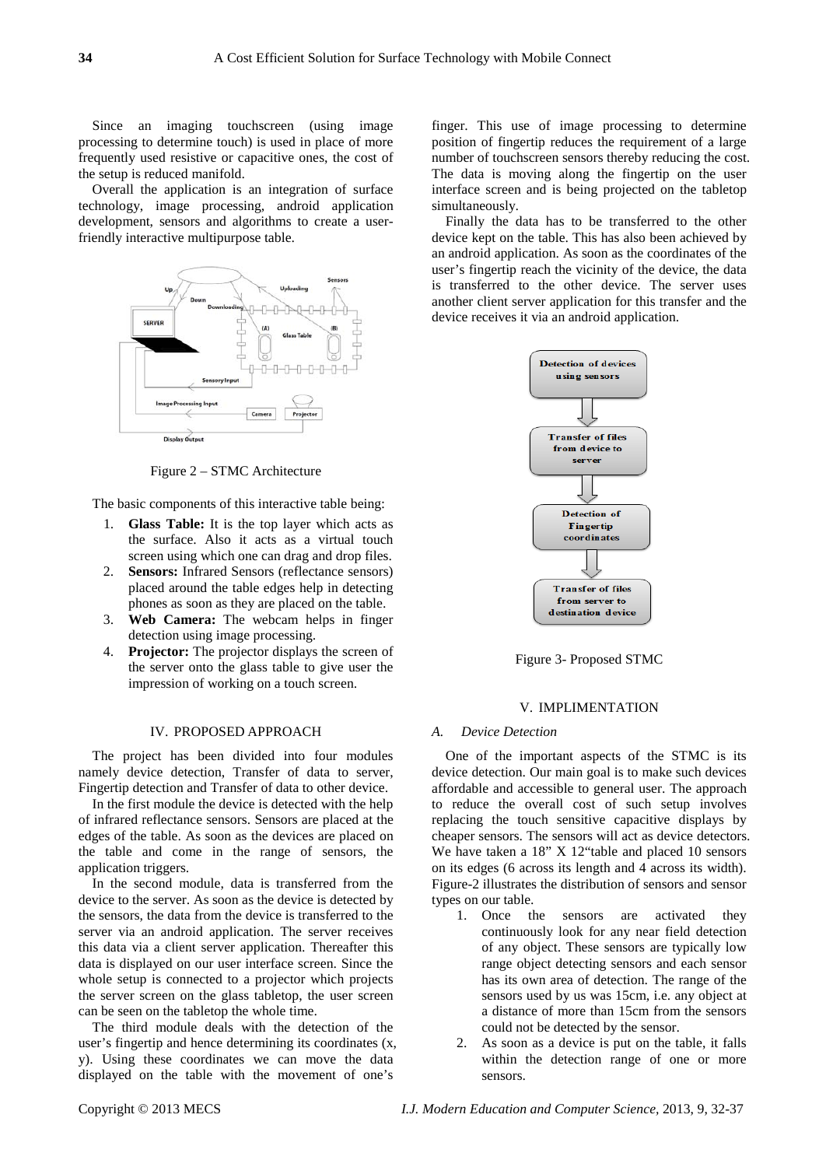Since an imaging touchscreen (using image processing to determine touch) is used in place of more frequently used resistive or capacitive ones, the cost of the setup is reduced manifold.

Overall the application is an integration of surface technology, image processing, android application development, sensors and algorithms to create a userfriendly interactive multipurpose table.



Figure 2 – STMC Architecture

The basic components of this interactive table being:

- 1. **Glass Table:** It is the top layer which acts as the surface. Also it acts as a virtual touch screen using which one can drag and drop files.
- 2. **Sensors:** Infrared Sensors (reflectance sensors) placed around the table edges help in detecting phones as soon as they are placed on the table.
- 3. **Web Camera:** The webcam helps in finger detection using image processing.
- 4. **Projector:** The projector displays the screen of the server onto the glass table to give user the impression of working on a touch screen.

#### IV. PROPOSED APPROACH

The project has been divided into four modules namely device detection, Transfer of data to server, Fingertip detection and Transfer of data to other device.

In the first module the device is detected with the help of infrared reflectance sensors. Sensors are placed at the edges of the table. As soon as the devices are placed on the table and come in the range of sensors, the application triggers.

In the second module, data is transferred from the device to the server. As soon as the device is detected by the sensors, the data from the device is transferred to the server via an android application. The server receives this data via a client server application. Thereafter this data is displayed on our user interface screen. Since the whole setup is connected to a projector which projects the server screen on the glass tabletop, the user screen can be seen on the tabletop the whole time.

The third module deals with the detection of the user's fingertip and hence determining its coordinates (x, y). Using these coordinates we can move the data displayed on the table with the movement of one's

finger. This use of image processing to determine position of fingertip reduces the requirement of a large number of touchscreen sensors thereby reducing the cost. The data is moving along the fingertip on the user interface screen and is being projected on the tabletop simultaneously.

Finally the data has to be transferred to the other device kept on the table. This has also been achieved by an android application. As soon as the coordinates of the user's fingertip reach the vicinity of the device, the data is transferred to the other device. The server uses another client server application for this transfer and the device receives it via an android application.



Figure 3- Proposed STMC

# V. IMPLIMENTATION

#### *A. Device Detection*

One of the important aspects of the STMC is its device detection. Our main goal is to make such devices affordable and accessible to general user. The approach to reduce the overall cost of such setup involves replacing the touch sensitive capacitive displays by cheaper sensors. The sensors will act as device detectors. We have taken a 18" X 12"table and placed 10 sensors on its edges (6 across its length and 4 across its width). Figure-2 illustrates the distribution of sensors and sensor types on our table.

- 1. Once the sensors are activated they continuously look for any near field detection of any object. These sensors are typically low range object detecting sensors and each sensor has its own area of detection. The range of the sensors used by us was 15cm, i.e. any object at a distance of more than 15cm from the sensors could not be detected by the sensor.
- 2. As soon as a device is put on the table, it falls within the detection range of one or more sensors.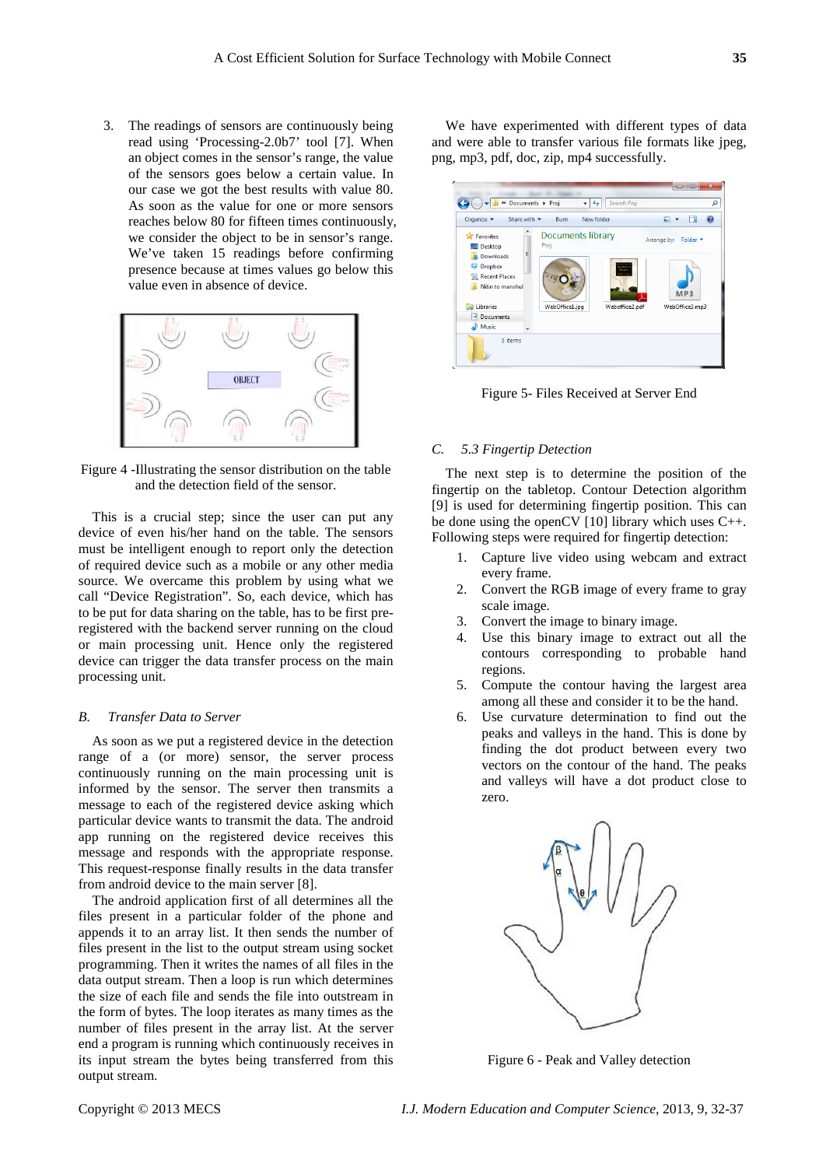3. The readings of sensors are continuously being read using 'Processing-2.0b7' tool [7]. When an object comes in the sensor's range, the value of the sensors goes below a certain value. In our case we got the best results with value 80. As soon as the value for one or more sensors reaches below 80 for fifteen times continuously, we consider the object to be in sensor's range. We've taken 15 readings before confirming presence because at times values go below this value even in absence of device.



Figure 4 -Illustrating the sensor distribution on the table and the detection field of the sensor.

This is a crucial step; since the user can put any device of even his/her hand on the table. The sensors must be intelligent enough to report only the detection of required device such as a mobile or any other media source. We overcame this problem by using what we call "Device Registration". So, each device, which has to be put for data sharing on the table, has to be first preregistered with the backend server running on the cloud or main processing unit. Hence only the registered device can trigger the data transfer process on the main processing unit.

#### *B. Transfer Data to Server*

As soon as we put a registered device in the detection range of a (or more) sensor, the server process continuously running on the main processing unit is informed by the sensor. The server then transmits a message to each of the registered device asking which particular device wants to transmit the data. The android app running on the registered device receives this message and responds with the appropriate response. This request-response finally results in the data transfer from android device to the main server [8].

The android application first of all determines all the files present in a particular folder of the phone and appends it to an array list. It then sends the number of files present in the list to the output stream using socket programming. Then it writes the names of all files in the data output stream. Then a loop is run which determines the size of each file and sends the file into outstream in the form of bytes. The loop iterates as many times as the number of files present in the array list. At the server end a program is running which continuously receives in its input stream the bytes being transferred from this output stream.

We have experimented with different types of data and were able to transfer various file formats like jpeg, png, mp3, pdf, doc, zip, mp4 successfully.



Figure 5- Files Received at Server End

#### *C. 5.3 Fingertip Detection*

The next step is to determine the position of the fingertip on the tabletop. Contour Detection algorithm [9] is used for determining fingertip position. This can be done using the openCV  $[10]$  library which uses C++. Following steps were required for fingertip detection:

- 1. Capture live video using webcam and extract every frame.
- 2. Convert the RGB image of every frame to gray scale image.
- 3. Convert the image to binary image.
- 4. Use this binary image to extract out all the contours corresponding to probable hand regions.
- 5. Compute the contour having the largest area among all these and consider it to be the hand.
- 6. Use curvature determination to find out the peaks and valleys in the hand. This is done by finding the dot product between every two vectors on the contour of the hand. The peaks and valleys will have a dot product close to zero.



Figure 6 - Peak and Valley detection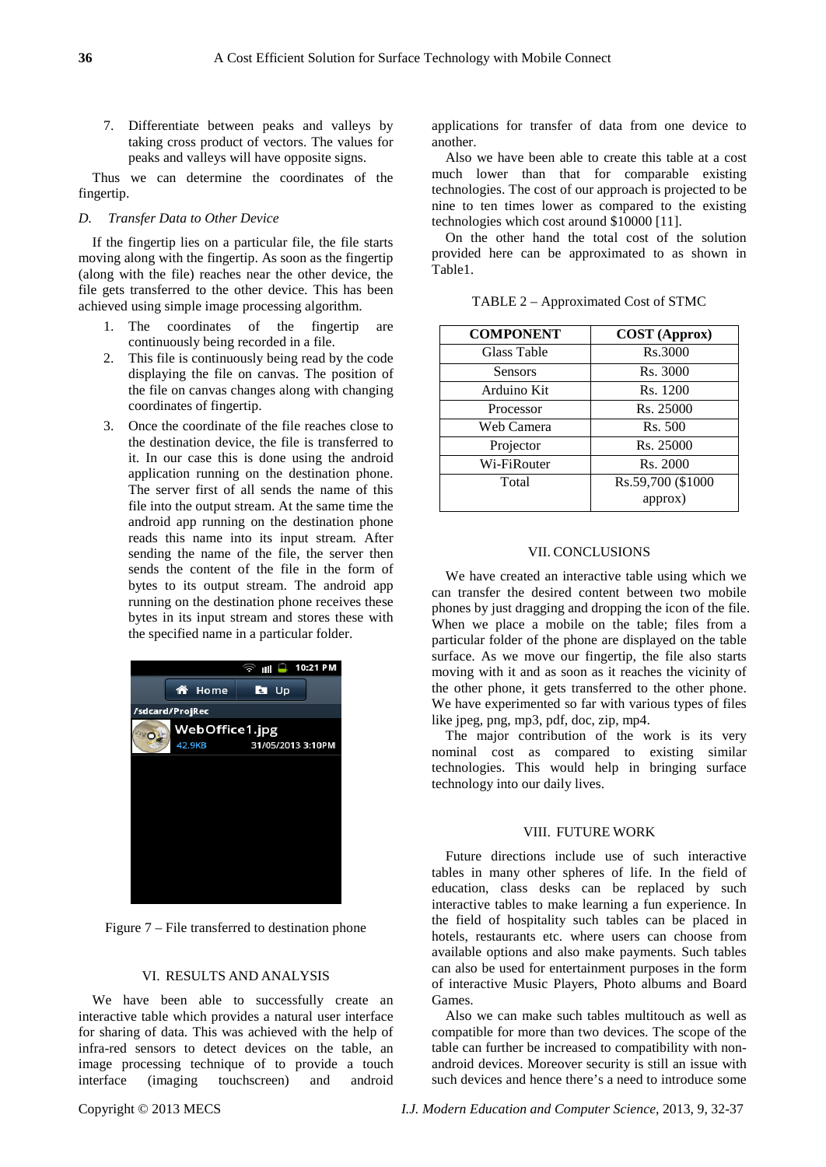7. Differentiate between peaks and valleys by taking cross product of vectors. The values for peaks and valleys will have opposite signs.

Thus we can determine the coordinates of the fingertip.

#### *D. Transfer Data to Other Device*

If the fingertip lies on a particular file, the file starts moving along with the fingertip. As soon as the fingertip (along with the file) reaches near the other device, the file gets transferred to the other device. This has been achieved using simple image processing algorithm.

- 1. The coordinates of the fingertip are continuously being recorded in a file.
- 2. This file is continuously being read by the code displaying the file on canvas. The position of the file on canvas changes along with changing coordinates of fingertip.
- 3. Once the coordinate of the file reaches close to the destination device, the file is transferred to it. In our case this is done using the android application running on the destination phone. The server first of all sends the name of this file into the output stream. At the same time the android app running on the destination phone reads this name into its input stream. After sending the name of the file, the server then sends the content of the file in the form of bytes to its output stream. The android app running on the destination phone receives these bytes in its input stream and stores these with the specified name in a particular folder.



Figure 7 – File transferred to destination phone

# VI. RESULTS AND ANALYSIS

We have been able to successfully create an interactive table which provides a natural user interface for sharing of data. This was achieved with the help of infra-red sensors to detect devices on the table, an image processing technique of to provide a touch interface (imaging touchscreen) and android applications for transfer of data from one device to another.

Also we have been able to create this table at a cost much lower than that for comparable existing technologies. The cost of our approach is projected to be nine to ten times lower as compared to the existing technologies which cost around \$10000 [11].

On the other hand the total cost of the solution provided here can be approximated to as shown in Table1.

| <b>COMPONENT</b> | <b>COST</b> (Approx) |
|------------------|----------------------|
| Glass Table      | Rs.3000              |
| Sensors          | Rs. 3000             |
| Arduino Kit      | Rs. 1200             |
| Processor        | Rs. 25000            |
| Web Camera       | Rs. 500              |
| Projector        | Rs. 25000            |
| Wi-FiRouter      | Rs. 2000             |
| Total            | Rs.59,700 (\$1000    |
|                  | approx)              |

TABLE 2 – Approximated Cost of STMC

## VII. CONCLUSIONS

We have created an interactive table using which we can transfer the desired content between two mobile phones by just dragging and dropping the icon of the file. When we place a mobile on the table; files from a particular folder of the phone are displayed on the table surface. As we move our fingertip, the file also starts moving with it and as soon as it reaches the vicinity of the other phone, it gets transferred to the other phone. We have experimented so far with various types of files like jpeg, png, mp3, pdf, doc, zip, mp4.

The major contribution of the work is its very nominal cost as compared to existing similar technologies. This would help in bringing surface technology into our daily lives.

## VIII. FUTURE WORK

Future directions include use of such interactive tables in many other spheres of life. In the field of education, class desks can be replaced by such interactive tables to make learning a fun experience. In the field of hospitality such tables can be placed in hotels, restaurants etc. where users can choose from available options and also make payments. Such tables can also be used for entertainment purposes in the form of interactive Music Players, Photo albums and Board Games.

Also we can make such tables multitouch as well as compatible for more than two devices. The scope of the table can further be increased to compatibility with nonandroid devices. Moreover security is still an issue with such devices and hence there's a need to introduce some